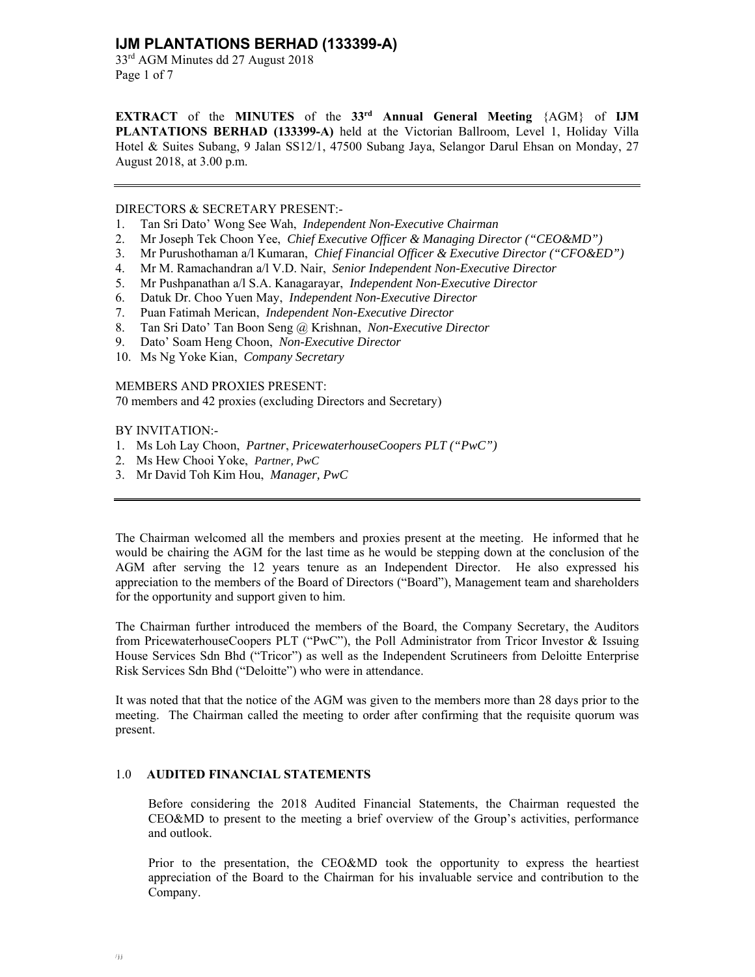# **IJM PLANTATIONS BERHAD (133399-A)**

33rd AGM Minutes dd 27 August 2018 Page 1 of 7

**EXTRACT** of the **MINUTES** of the **33rd Annual General Meeting** {AGM} of **IJM PLANTATIONS BERHAD (133399-A)** held at the Victorian Ballroom, Level 1, Holiday Villa Hotel & Suites Subang, 9 Jalan SS12/1, 47500 Subang Jaya, Selangor Darul Ehsan on Monday, 27 August 2018, at 3.00 p.m.

#### DIRECTORS & SECRETARY PRESENT:-

- 1. Tan Sri Dato' Wong See Wah, *Independent Non-Executive Chairman*
- 2. Mr Joseph Tek Choon Yee, *Chief Executive Officer & Managing Director ("CEO&MD")*
- 3. Mr Purushothaman a/l Kumaran, *Chief Financial Officer & Executive Director ("CFO&ED")*
- 4. Mr M. Ramachandran a/l V.D. Nair, *Senior Independent Non-Executive Director*
- 5. Mr Pushpanathan a/l S.A. Kanagarayar, *Independent Non-Executive Director*
- 6. Datuk Dr. Choo Yuen May, *Independent Non-Executive Director*
- 7. Puan Fatimah Merican, *Independent Non-Executive Director*
- 8. Tan Sri Dato' Tan Boon Seng @ Krishnan, *Non-Executive Director*
- 9. Dato' Soam Heng Choon, *Non-Executive Director*
- 10. Ms Ng Yoke Kian, *Company Secretary*

MEMBERS AND PROXIES PRESENT:

70 members and 42 proxies (excluding Directors and Secretary)

### BY INVITATION:-

- 1. Ms Loh Lay Choon, *Partner*, *PricewaterhouseCoopers PLT ("PwC")*
- 2. Ms Hew Chooi Yoke, *Partner, PwC*
- 3. Mr David Toh Kim Hou, *Manager, PwC*

The Chairman welcomed all the members and proxies present at the meeting. He informed that he would be chairing the AGM for the last time as he would be stepping down at the conclusion of the AGM after serving the 12 years tenure as an Independent Director. He also expressed his appreciation to the members of the Board of Directors ("Board"), Management team and shareholders for the opportunity and support given to him.

The Chairman further introduced the members of the Board, the Company Secretary, the Auditors from PricewaterhouseCoopers PLT ("PwC"), the Poll Administrator from Tricor Investor & Issuing House Services Sdn Bhd ("Tricor") as well as the Independent Scrutineers from Deloitte Enterprise Risk Services Sdn Bhd ("Deloitte") who were in attendance.

It was noted that that the notice of the AGM was given to the members more than 28 days prior to the meeting. The Chairman called the meeting to order after confirming that the requisite quorum was present.

# 1.0 **AUDITED FINANCIAL STATEMENTS**

Before considering the 2018 Audited Financial Statements, the Chairman requested the CEO&MD to present to the meeting a brief overview of the Group's activities, performance and outlook.

Prior to the presentation, the CEO&MD took the opportunity to express the heartiest appreciation of the Board to the Chairman for his invaluable service and contribution to the Company.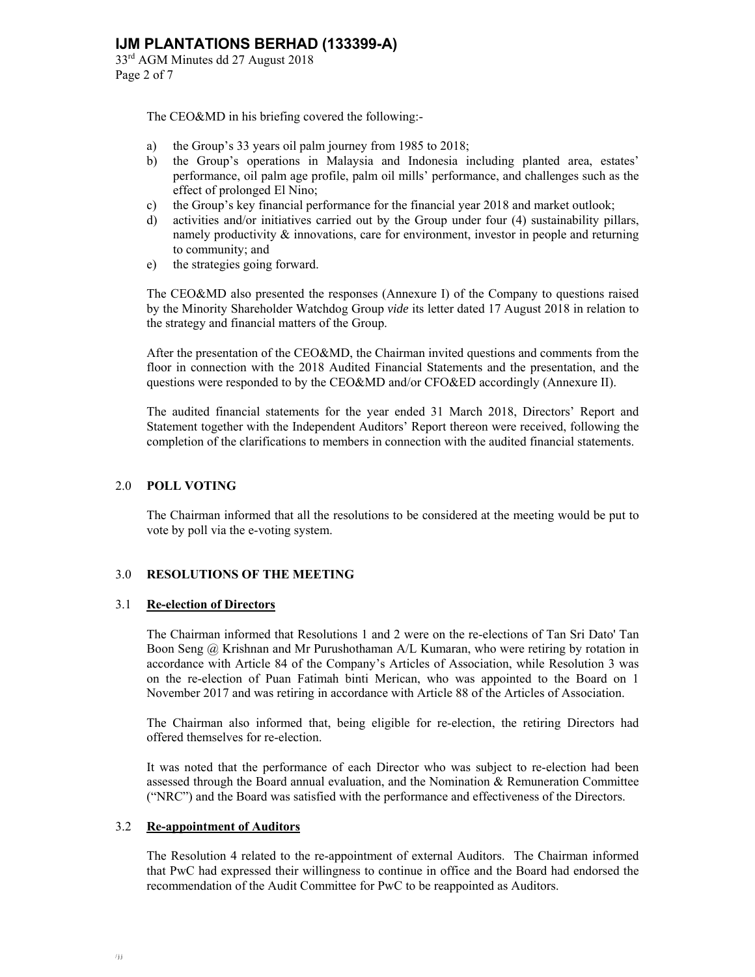33rd AGM Minutes dd 27 August 2018 Page 2 of 7

The CEO&MD in his briefing covered the following:-

- a) the Group's 33 years oil palm journey from 1985 to 2018;
- b) the Group's operations in Malaysia and Indonesia including planted area, estates' performance, oil palm age profile, palm oil mills' performance, and challenges such as the effect of prolonged El Nino;
- c) the Group's key financial performance for the financial year 2018 and market outlook;
- d) activities and/or initiatives carried out by the Group under four (4) sustainability pillars, namely productivity & innovations, care for environment, investor in people and returning to community; and
- e) the strategies going forward.

The CEO&MD also presented the responses (Annexure I) of the Company to questions raised by the Minority Shareholder Watchdog Group *vide* its letter dated 17 August 2018 in relation to the strategy and financial matters of the Group.

After the presentation of the CEO&MD, the Chairman invited questions and comments from the floor in connection with the 2018 Audited Financial Statements and the presentation, and the questions were responded to by the CEO&MD and/or CFO&ED accordingly (Annexure II).

The audited financial statements for the year ended 31 March 2018, Directors' Report and Statement together with the Independent Auditors' Report thereon were received, following the completion of the clarifications to members in connection with the audited financial statements.

# 2.0 **POLL VOTING**

The Chairman informed that all the resolutions to be considered at the meeting would be put to vote by poll via the e-voting system.

# 3.0 **RESOLUTIONS OF THE MEETING**

# 3.1 **Re-election of Directors**

 The Chairman informed that Resolutions 1 and 2 were on the re-elections of Tan Sri Dato' Tan Boon Seng @ Krishnan and Mr Purushothaman A/L Kumaran, who were retiring by rotation in accordance with Article 84 of the Company's Articles of Association, while Resolution 3 was on the re-election of Puan Fatimah binti Merican, who was appointed to the Board on 1 November 2017 and was retiring in accordance with Article 88 of the Articles of Association.

 The Chairman also informed that, being eligible for re-election, the retiring Directors had offered themselves for re-election.

 It was noted that the performance of each Director who was subject to re-election had been assessed through the Board annual evaluation, and the Nomination & Remuneration Committee ("NRC") and the Board was satisfied with the performance and effectiveness of the Directors.

# 3.2 **Re-appointment of Auditors**

 The Resolution 4 related to the re-appointment of external Auditors. The Chairman informed that PwC had expressed their willingness to continue in office and the Board had endorsed the recommendation of the Audit Committee for PwC to be reappointed as Auditors.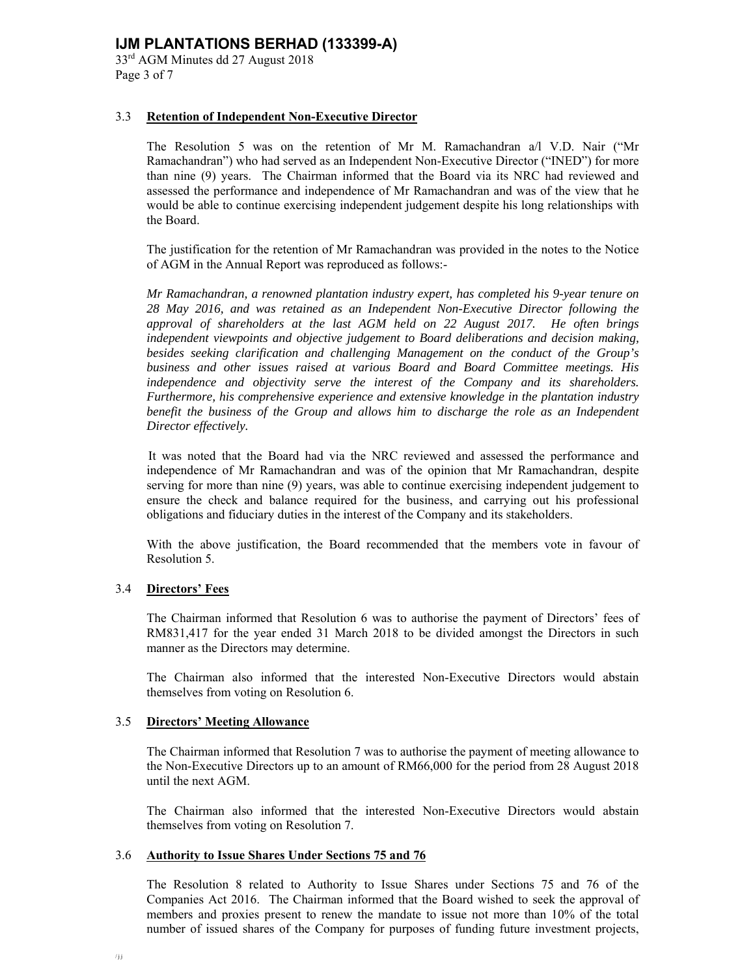# **IJM PLANTATIONS BERHAD (133399-A)**

33rd AGM Minutes dd 27 August 2018 Page 3 of 7

### 3.3 **Retention of Independent Non-Executive Director**

 The Resolution 5 was on the retention of Mr M. Ramachandran a/l V.D. Nair ("Mr Ramachandran") who had served as an Independent Non-Executive Director ("INED") for more than nine (9) years. The Chairman informed that the Board via its NRC had reviewed and assessed the performance and independence of Mr Ramachandran and was of the view that he would be able to continue exercising independent judgement despite his long relationships with the Board.

 The justification for the retention of Mr Ramachandran was provided in the notes to the Notice of AGM in the Annual Report was reproduced as follows:-

*Mr Ramachandran, a renowned plantation industry expert, has completed his 9-year tenure on 28 May 2016, and was retained as an Independent Non-Executive Director following the approval of shareholders at the last AGM held on 22 August 2017. He often brings independent viewpoints and objective judgement to Board deliberations and decision making, besides seeking clarification and challenging Management on the conduct of the Group's business and other issues raised at various Board and Board Committee meetings. His independence and objectivity serve the interest of the Company and its shareholders. Furthermore, his comprehensive experience and extensive knowledge in the plantation industry benefit the business of the Group and allows him to discharge the role as an Independent Director effectively.* 

It was noted that the Board had via the NRC reviewed and assessed the performance and independence of Mr Ramachandran and was of the opinion that Mr Ramachandran, despite serving for more than nine (9) years, was able to continue exercising independent judgement to ensure the check and balance required for the business, and carrying out his professional obligations and fiduciary duties in the interest of the Company and its stakeholders.

With the above justification, the Board recommended that the members vote in favour of Resolution 5.

#### 3.4 **Directors' Fees**

 The Chairman informed that Resolution 6 was to authorise the payment of Directors' fees of RM831,417 for the year ended 31 March 2018 to be divided amongst the Directors in such manner as the Directors may determine.

 The Chairman also informed that the interested Non-Executive Directors would abstain themselves from voting on Resolution 6.

#### 3.5 **Directors' Meeting Allowance**

 The Chairman informed that Resolution 7 was to authorise the payment of meeting allowance to the Non-Executive Directors up to an amount of RM66,000 for the period from 28 August 2018 until the next AGM.

 The Chairman also informed that the interested Non-Executive Directors would abstain themselves from voting on Resolution 7.

#### 3.6 **Authority to Issue Shares Under Sections 75 and 76**

 The Resolution 8 related to Authority to Issue Shares under Sections 75 and 76 of the Companies Act 2016. The Chairman informed that the Board wished to seek the approval of members and proxies present to renew the mandate to issue not more than 10% of the total number of issued shares of the Company for purposes of funding future investment projects,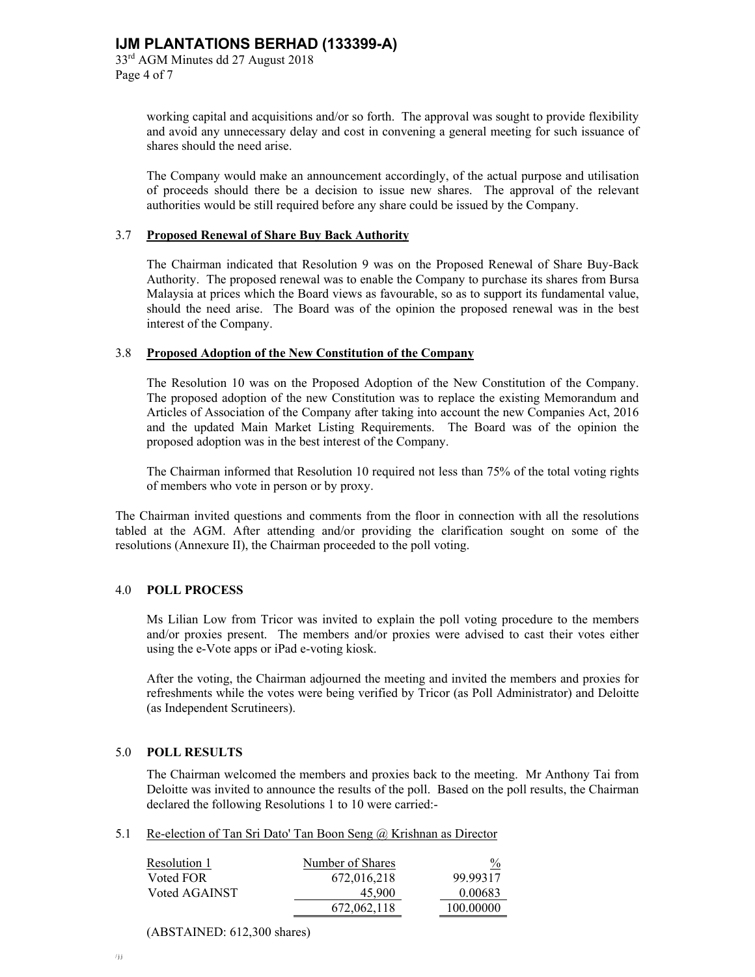working capital and acquisitions and/or so forth. The approval was sought to provide flexibility and avoid any unnecessary delay and cost in convening a general meeting for such issuance of shares should the need arise.

 The Company would make an announcement accordingly, of the actual purpose and utilisation of proceeds should there be a decision to issue new shares. The approval of the relevant authorities would be still required before any share could be issued by the Company.

#### 3.7 **Proposed Renewal of Share Buy Back Authority**

 The Chairman indicated that Resolution 9 was on the Proposed Renewal of Share Buy-Back Authority. The proposed renewal was to enable the Company to purchase its shares from Bursa Malaysia at prices which the Board views as favourable, so as to support its fundamental value, should the need arise. The Board was of the opinion the proposed renewal was in the best interest of the Company.

#### 3.8 **Proposed Adoption of the New Constitution of the Company**

 The Resolution 10 was on the Proposed Adoption of the New Constitution of the Company. The proposed adoption of the new Constitution was to replace the existing Memorandum and Articles of Association of the Company after taking into account the new Companies Act, 2016 and the updated Main Market Listing Requirements. The Board was of the opinion the proposed adoption was in the best interest of the Company.

 The Chairman informed that Resolution 10 required not less than 75% of the total voting rights of members who vote in person or by proxy.

The Chairman invited questions and comments from the floor in connection with all the resolutions tabled at the AGM. After attending and/or providing the clarification sought on some of the resolutions (Annexure II), the Chairman proceeded to the poll voting.

#### 4.0 **POLL PROCESS**

Ms Lilian Low from Tricor was invited to explain the poll voting procedure to the members and/or proxies present. The members and/or proxies were advised to cast their votes either using the e-Vote apps or iPad e-voting kiosk.

After the voting, the Chairman adjourned the meeting and invited the members and proxies for refreshments while the votes were being verified by Tricor (as Poll Administrator) and Deloitte (as Independent Scrutineers).

#### 5.0 **POLL RESULTS**

 The Chairman welcomed the members and proxies back to the meeting. Mr Anthony Tai from Deloitte was invited to announce the results of the poll. Based on the poll results, the Chairman declared the following Resolutions 1 to 10 were carried:-

5.1 Re-election of Tan Sri Dato' Tan Boon Seng @ Krishnan as Director

| Resolution 1  | Number of Shares | $\frac{0}{0}$ |
|---------------|------------------|---------------|
| Voted FOR     | 672,016,218      | 99.99317      |
| Voted AGAINST | 45,900           | 0.00683       |
|               | 672,062,118      | 100.00000     |

(ABSTAINED: 612,300 shares)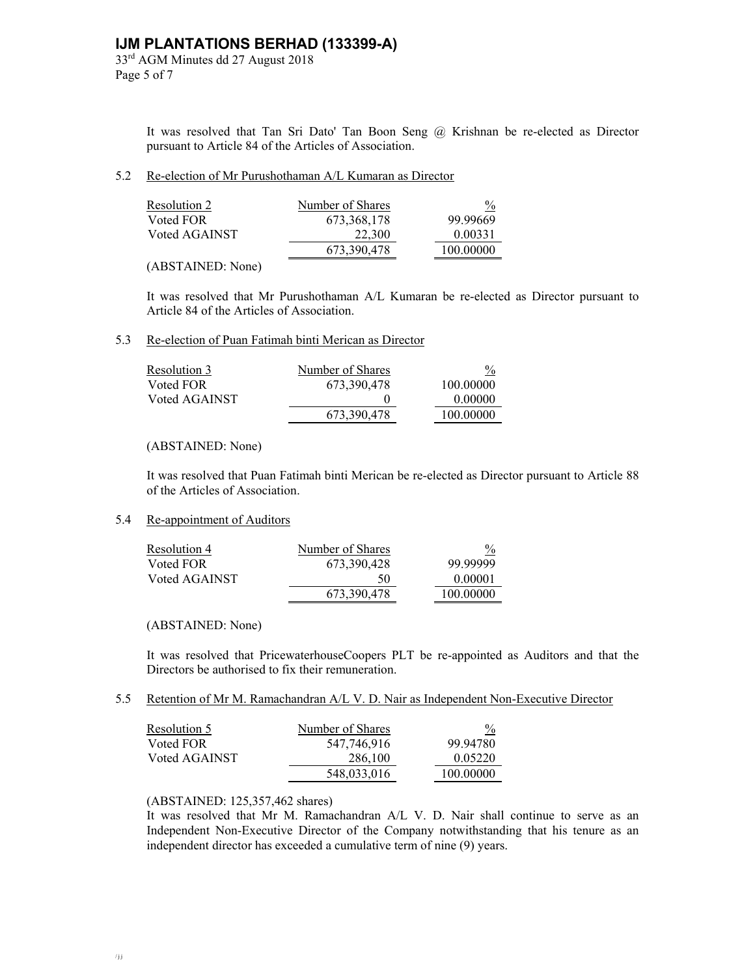33rd AGM Minutes dd 27 August 2018 Page 5 of 7

> It was resolved that Tan Sri Dato' Tan Boon Seng @ Krishnan be re-elected as Director pursuant to Article 84 of the Articles of Association.

#### 5.2 Re-election of Mr Purushothaman A/L Kumaran as Director

| Resolution 2  | Number of Shares | $\frac{0}{0}$ |
|---------------|------------------|---------------|
| Voted FOR     | 673.368.178      | 99.99669      |
| Voted AGAINST | 22,300           | 0.00331       |
|               | 673.390.478      | 100.00000     |

(ABSTAINED: None)

 It was resolved that Mr Purushothaman A/L Kumaran be re-elected as Director pursuant to Article 84 of the Articles of Association.

#### 5.3 Re-election of Puan Fatimah binti Merican as Director

| Resolution 3  | Number of Shares | $\frac{0}{0}$ |
|---------------|------------------|---------------|
| Voted FOR     | 673,390,478      | 100.00000     |
| Voted AGAINST |                  | 0.00000       |
|               | 673.390.478      | 100.00000     |

#### (ABSTAINED: None)

 It was resolved that Puan Fatimah binti Merican be re-elected as Director pursuant to Article 88 of the Articles of Association.

#### 5.4 Re-appointment of Auditors

| Resolution 4  | Number of Shares | $\frac{0}{2}$ |
|---------------|------------------|---------------|
| Voted FOR     | 673.390.428      | 99.99999      |
| Voted AGAINST | 50               | 0.00001       |
|               | 673,390,478      | 100.00000     |

(ABSTAINED: None)

 It was resolved that PricewaterhouseCoopers PLT be re-appointed as Auditors and that the Directors be authorised to fix their remuneration.

5.5 Retention of Mr M. Ramachandran A/L V. D. Nair as Independent Non-Executive Director

| Resolution 5  | Number of Shares | $\frac{0}{2}$ |
|---------------|------------------|---------------|
| Voted FOR     | 547,746,916      | 99.94780      |
| Voted AGAINST | 286,100          | 0.05220       |
|               | 548,033,016      | 100.00000     |

#### (ABSTAINED: 125,357,462 shares)

It was resolved that Mr M. Ramachandran A/L V. D. Nair shall continue to serve as an Independent Non-Executive Director of the Company notwithstanding that his tenure as an independent director has exceeded a cumulative term of nine (9) years.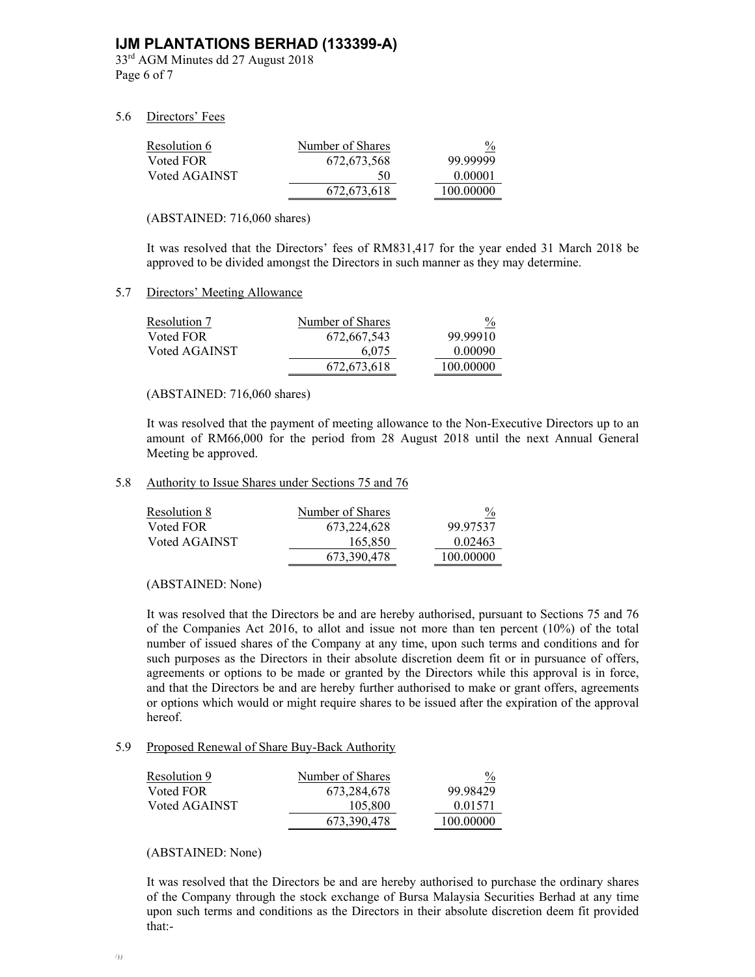# **IJM PLANTATIONS BERHAD (133399-A)**

33rd AGM Minutes dd 27 August 2018 Page 6 of 7

#### 5.6 Directors' Fees

| Resolution 6  | Number of Shares | $\frac{0}{0}$ |
|---------------|------------------|---------------|
| Voted FOR     | 672.673.568      | 99.99999      |
| Voted AGAINST | 50               | 0.00001       |
|               | 672.673.618      | 100.00000     |

(ABSTAINED: 716,060 shares)

It was resolved that the Directors' fees of RM831,417 for the year ended 31 March 2018 be approved to be divided amongst the Directors in such manner as they may determine.

### 5.7 Directors' Meeting Allowance

| Resolution 7  | Number of Shares | $\frac{0}{2}$ |
|---------------|------------------|---------------|
| Voted FOR     | 672,667,543      | 99.99910      |
| Voted AGAINST | 6.075            | 0.00090       |
|               | 672.673.618      | 100.00000     |

(ABSTAINED: 716,060 shares)

It was resolved that the payment of meeting allowance to the Non-Executive Directors up to an amount of RM66,000 for the period from 28 August 2018 until the next Annual General Meeting be approved.

5.8 Authority to Issue Shares under Sections 75 and 76

| Resolution 8  | Number of Shares | $\frac{0}{0}$ |
|---------------|------------------|---------------|
| Voted FOR     | 673, 224, 628    | 99.97537      |
| Voted AGAINST | 165,850          | 0.02463       |
|               | 673.390.478      | 100.00000     |

(ABSTAINED: None)

It was resolved that the Directors be and are hereby authorised, pursuant to Sections 75 and 76 of the Companies Act 2016, to allot and issue not more than ten percent (10%) of the total number of issued shares of the Company at any time, upon such terms and conditions and for such purposes as the Directors in their absolute discretion deem fit or in pursuance of offers, agreements or options to be made or granted by the Directors while this approval is in force, and that the Directors be and are hereby further authorised to make or grant offers, agreements or options which would or might require shares to be issued after the expiration of the approval hereof.

#### 5.9 Proposed Renewal of Share Buy-Back Authority

| Resolution 9  | Number of Shares | $\frac{0}{0}$ |
|---------------|------------------|---------------|
| Voted FOR     | 673.284.678      | 99.98429      |
| Voted AGAINST | 105,800          | 0.01571       |
|               | 673.390.478      | 100.00000     |

(ABSTAINED: None)

It was resolved that the Directors be and are hereby authorised to purchase the ordinary shares of the Company through the stock exchange of Bursa Malaysia Securities Berhad at any time upon such terms and conditions as the Directors in their absolute discretion deem fit provided that:-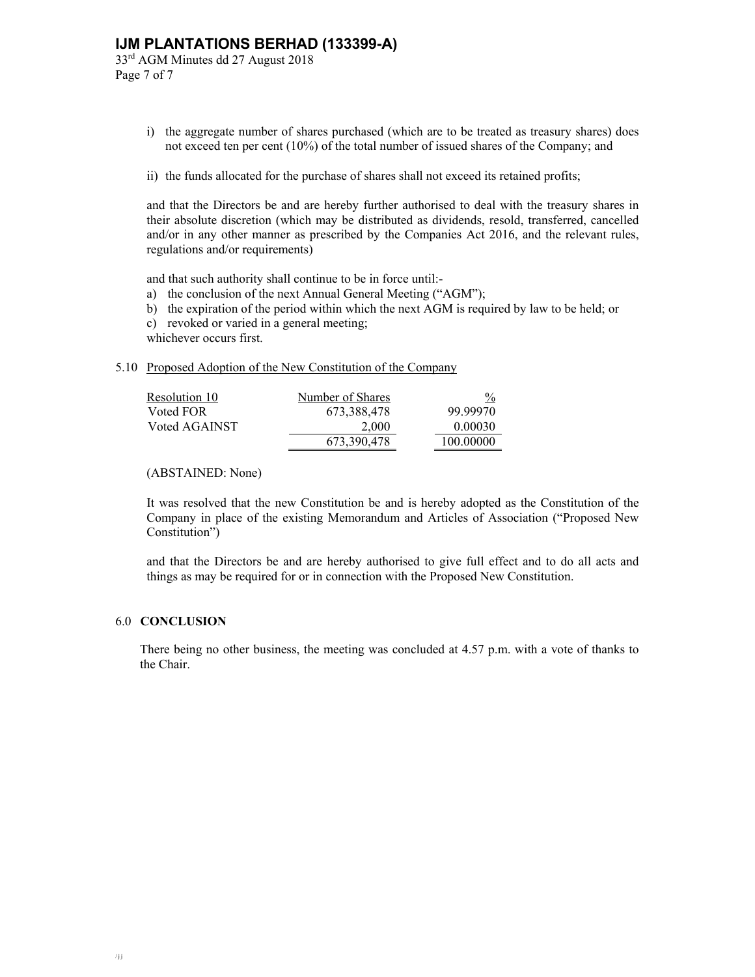33rd AGM Minutes dd 27 August 2018 Page 7 of 7

- i) the aggregate number of shares purchased (which are to be treated as treasury shares) does not exceed ten per cent (10%) of the total number of issued shares of the Company; and
- ii) the funds allocated for the purchase of shares shall not exceed its retained profits;

and that the Directors be and are hereby further authorised to deal with the treasury shares in their absolute discretion (which may be distributed as dividends, resold, transferred, cancelled and/or in any other manner as prescribed by the Companies Act 2016, and the relevant rules, regulations and/or requirements)

and that such authority shall continue to be in force until:-

- a) the conclusion of the next Annual General Meeting ("AGM");
- b) the expiration of the period within which the next AGM is required by law to be held; or
- c) revoked or varied in a general meeting;

whichever occurs first.

5.10 Proposed Adoption of the New Constitution of the Company

| Resolution 10 | Number of Shares | $\frac{0}{2}$ |
|---------------|------------------|---------------|
| Voted FOR     | 673,388,478      | 99.99970      |
| Voted AGAINST | 2.000            | 0.00030       |
|               | 673,390,478      | 100.00000     |

(ABSTAINED: None)

It was resolved that the new Constitution be and is hereby adopted as the Constitution of the Company in place of the existing Memorandum and Articles of Association ("Proposed New Constitution")

and that the Directors be and are hereby authorised to give full effect and to do all acts and things as may be required for or in connection with the Proposed New Constitution.

#### 6.0 **CONCLUSION**

There being no other business, the meeting was concluded at 4.57 p.m. with a vote of thanks to the Chair.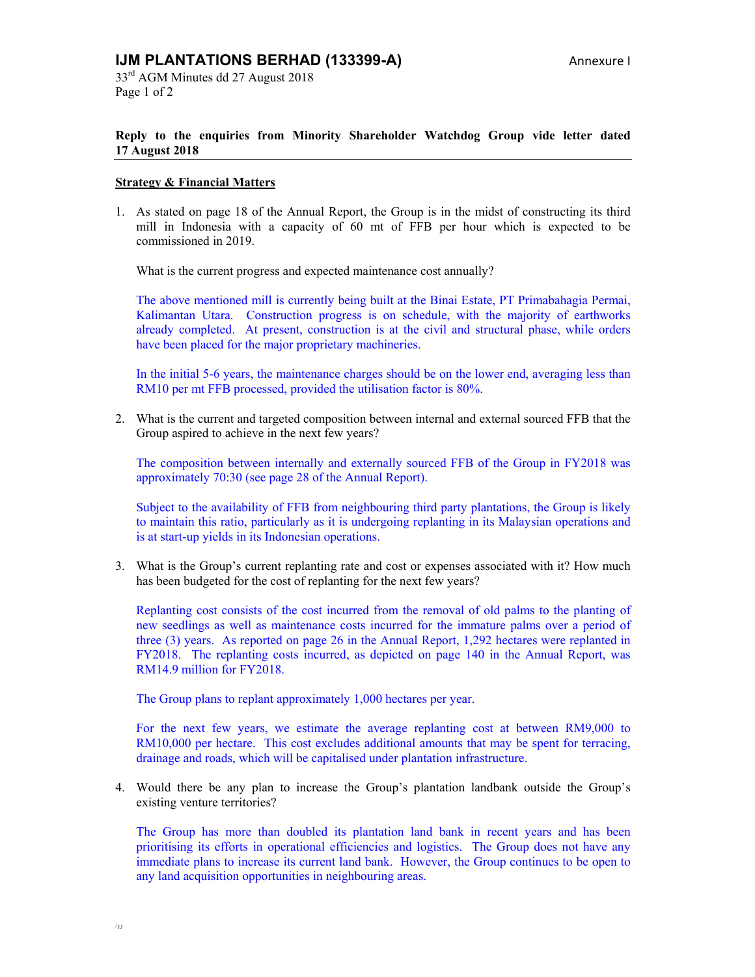### **Reply to the enquiries from Minority Shareholder Watchdog Group vide letter dated 17 August 2018**

#### **Strategy & Financial Matters**

1. As stated on page 18 of the Annual Report, the Group is in the midst of constructing its third mill in Indonesia with a capacity of 60 mt of FFB per hour which is expected to be commissioned in 2019.

What is the current progress and expected maintenance cost annually?

The above mentioned mill is currently being built at the Binai Estate, PT Primabahagia Permai, Kalimantan Utara. Construction progress is on schedule, with the majority of earthworks already completed. At present, construction is at the civil and structural phase, while orders have been placed for the major proprietary machineries.

In the initial 5-6 years, the maintenance charges should be on the lower end, averaging less than RM10 per mt FFB processed, provided the utilisation factor is 80%.

2. What is the current and targeted composition between internal and external sourced FFB that the Group aspired to achieve in the next few years?

The composition between internally and externally sourced FFB of the Group in FY2018 was approximately 70:30 (see page 28 of the Annual Report).

Subject to the availability of FFB from neighbouring third party plantations, the Group is likely to maintain this ratio, particularly as it is undergoing replanting in its Malaysian operations and is at start-up yields in its Indonesian operations.

3. What is the Group's current replanting rate and cost or expenses associated with it? How much has been budgeted for the cost of replanting for the next few years?

Replanting cost consists of the cost incurred from the removal of old palms to the planting of new seedlings as well as maintenance costs incurred for the immature palms over a period of three (3) years. As reported on page 26 in the Annual Report, 1,292 hectares were replanted in FY2018. The replanting costs incurred, as depicted on page 140 in the Annual Report, was RM14.9 million for FY2018.

The Group plans to replant approximately 1,000 hectares per year.

For the next few years, we estimate the average replanting cost at between RM9,000 to RM10,000 per hectare. This cost excludes additional amounts that may be spent for terracing, drainage and roads, which will be capitalised under plantation infrastructure.

4. Would there be any plan to increase the Group's plantation landbank outside the Group's existing venture territories?

The Group has more than doubled its plantation land bank in recent years and has been prioritising its efforts in operational efficiencies and logistics. The Group does not have any immediate plans to increase its current land bank. However, the Group continues to be open to any land acquisition opportunities in neighbouring areas.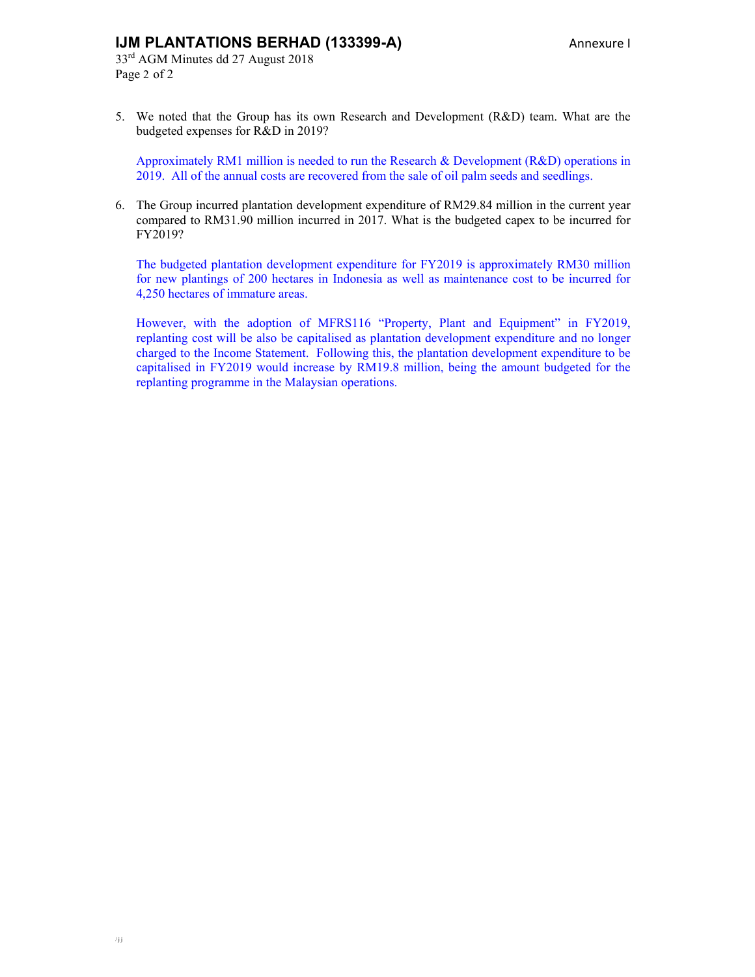# **IJM PLANTATIONS BERHAD (133399-A)** Annexure I

5. We noted that the Group has its own Research and Development (R&D) team. What are the budgeted expenses for R&D in 2019?

Approximately RM1 million is needed to run the Research & Development (R&D) operations in 2019. All of the annual costs are recovered from the sale of oil palm seeds and seedlings.

6. The Group incurred plantation development expenditure of RM29.84 million in the current year compared to RM31.90 million incurred in 2017. What is the budgeted capex to be incurred for FY2019?

The budgeted plantation development expenditure for FY2019 is approximately RM30 million for new plantings of 200 hectares in Indonesia as well as maintenance cost to be incurred for 4,250 hectares of immature areas.

However, with the adoption of MFRS116 "Property, Plant and Equipment" in FY2019, replanting cost will be also be capitalised as plantation development expenditure and no longer charged to the Income Statement. Following this, the plantation development expenditure to be capitalised in FY2019 would increase by RM19.8 million, being the amount budgeted for the replanting programme in the Malaysian operations.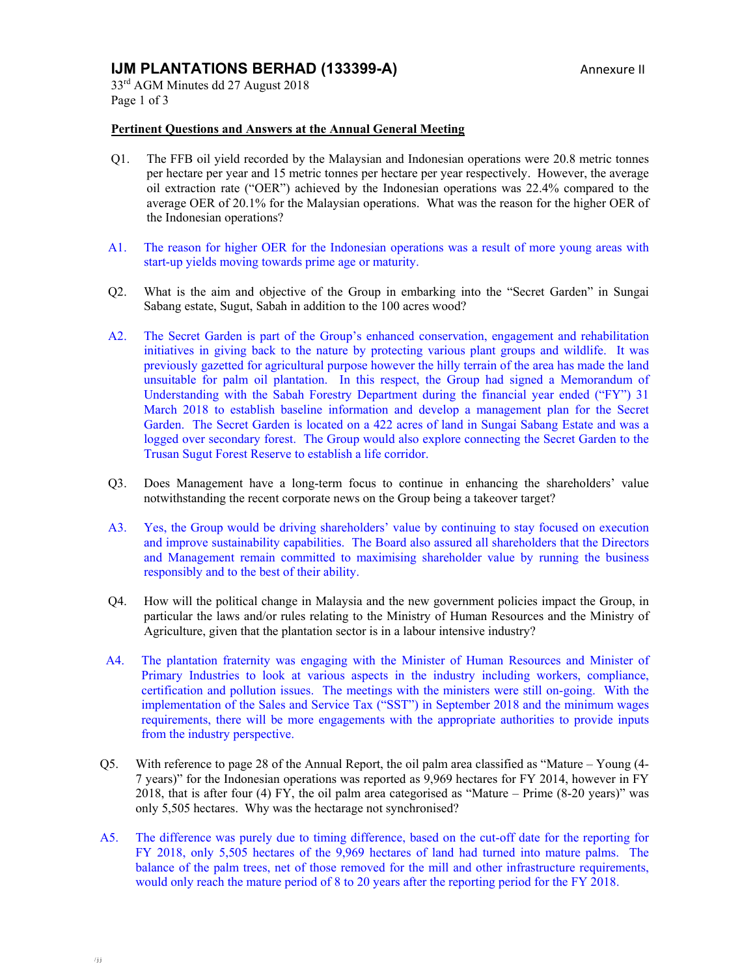# **IJM PLANTATIONS BERHAD (133399-A)** Annexure II

33rd AGM Minutes dd 27 August 2018 Page 1 of 3

#### **Pertinent Questions and Answers at the Annual General Meeting**

- Q1. The FFB oil yield recorded by the Malaysian and Indonesian operations were 20.8 metric tonnes per hectare per year and 15 metric tonnes per hectare per year respectively. However, the average oil extraction rate ("OER") achieved by the Indonesian operations was 22.4% compared to the average OER of 20.1% for the Malaysian operations. What was the reason for the higher OER of the Indonesian operations?
- A1. The reason for higher OER for the Indonesian operations was a result of more young areas with start-up yields moving towards prime age or maturity.
- Q2. What is the aim and objective of the Group in embarking into the "Secret Garden" in Sungai Sabang estate, Sugut, Sabah in addition to the 100 acres wood?
- A2. The Secret Garden is part of the Group's enhanced conservation, engagement and rehabilitation initiatives in giving back to the nature by protecting various plant groups and wildlife. It was previously gazetted for agricultural purpose however the hilly terrain of the area has made the land unsuitable for palm oil plantation. In this respect, the Group had signed a Memorandum of Understanding with the Sabah Forestry Department during the financial year ended ("FY") 31 March 2018 to establish baseline information and develop a management plan for the Secret Garden. The Secret Garden is located on a 422 acres of land in Sungai Sabang Estate and was a logged over secondary forest. The Group would also explore connecting the Secret Garden to the Trusan Sugut Forest Reserve to establish a life corridor.
- Q3. Does Management have a long-term focus to continue in enhancing the shareholders' value notwithstanding the recent corporate news on the Group being a takeover target?
- A3. Yes, the Group would be driving shareholders' value by continuing to stay focused on execution and improve sustainability capabilities. The Board also assured all shareholders that the Directors and Management remain committed to maximising shareholder value by running the business responsibly and to the best of their ability.
- Q4. How will the political change in Malaysia and the new government policies impact the Group, in particular the laws and/or rules relating to the Ministry of Human Resources and the Ministry of Agriculture, given that the plantation sector is in a labour intensive industry?
- A4. The plantation fraternity was engaging with the Minister of Human Resources and Minister of Primary Industries to look at various aspects in the industry including workers, compliance, certification and pollution issues. The meetings with the ministers were still on-going. With the implementation of the Sales and Service Tax ("SST") in September 2018 and the minimum wages requirements, there will be more engagements with the appropriate authorities to provide inputs from the industry perspective.
- Q5. With reference to page 28 of the Annual Report, the oil palm area classified as "Mature Young (4- 7 years)" for the Indonesian operations was reported as 9,969 hectares for FY 2014, however in FY 2018, that is after four (4) FY, the oil palm area categorised as "Mature – Prime (8-20 years)" was only 5,505 hectares. Why was the hectarage not synchronised?
- A5. The difference was purely due to timing difference, based on the cut-off date for the reporting for FY 2018, only 5,505 hectares of the 9,969 hectares of land had turned into mature palms. The balance of the palm trees, net of those removed for the mill and other infrastructure requirements, would only reach the mature period of 8 to 20 years after the reporting period for the FY 2018.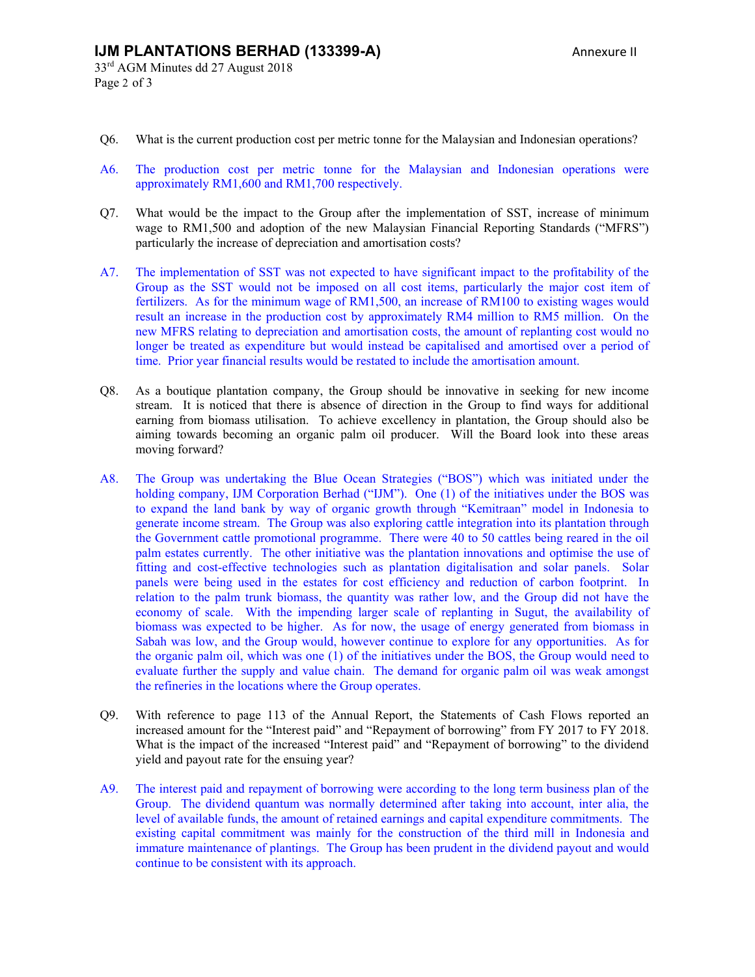33rd AGM Minutes dd 27 August 2018 Page 2 of 3

- Q6. What is the current production cost per metric tonne for the Malaysian and Indonesian operations?
- A6. The production cost per metric tonne for the Malaysian and Indonesian operations were approximately RM1,600 and RM1,700 respectively.
- Q7. What would be the impact to the Group after the implementation of SST, increase of minimum wage to RM1,500 and adoption of the new Malaysian Financial Reporting Standards ("MFRS") particularly the increase of depreciation and amortisation costs?
- A7. The implementation of SST was not expected to have significant impact to the profitability of the Group as the SST would not be imposed on all cost items, particularly the major cost item of fertilizers. As for the minimum wage of RM1,500, an increase of RM100 to existing wages would result an increase in the production cost by approximately RM4 million to RM5 million. On the new MFRS relating to depreciation and amortisation costs, the amount of replanting cost would no longer be treated as expenditure but would instead be capitalised and amortised over a period of time. Prior year financial results would be restated to include the amortisation amount.
- Q8. As a boutique plantation company, the Group should be innovative in seeking for new income stream. It is noticed that there is absence of direction in the Group to find ways for additional earning from biomass utilisation. To achieve excellency in plantation, the Group should also be aiming towards becoming an organic palm oil producer. Will the Board look into these areas moving forward?
- A8. The Group was undertaking the Blue Ocean Strategies ("BOS") which was initiated under the holding company, IJM Corporation Berhad ("IJM"). One (1) of the initiatives under the BOS was to expand the land bank by way of organic growth through "Kemitraan" model in Indonesia to generate income stream. The Group was also exploring cattle integration into its plantation through the Government cattle promotional programme. There were 40 to 50 cattles being reared in the oil palm estates currently. The other initiative was the plantation innovations and optimise the use of fitting and cost-effective technologies such as plantation digitalisation and solar panels. Solar panels were being used in the estates for cost efficiency and reduction of carbon footprint. In relation to the palm trunk biomass, the quantity was rather low, and the Group did not have the economy of scale. With the impending larger scale of replanting in Sugut, the availability of biomass was expected to be higher. As for now, the usage of energy generated from biomass in Sabah was low, and the Group would, however continue to explore for any opportunities. As for the organic palm oil, which was one (1) of the initiatives under the BOS, the Group would need to evaluate further the supply and value chain. The demand for organic palm oil was weak amongst the refineries in the locations where the Group operates.
- Q9. With reference to page 113 of the Annual Report, the Statements of Cash Flows reported an increased amount for the "Interest paid" and "Repayment of borrowing" from FY 2017 to FY 2018. What is the impact of the increased "Interest paid" and "Repayment of borrowing" to the dividend yield and payout rate for the ensuing year?
- A9. The interest paid and repayment of borrowing were according to the long term business plan of the Group. The dividend quantum was normally determined after taking into account, inter alia, the level of available funds, the amount of retained earnings and capital expenditure commitments. The existing capital commitment was mainly for the construction of the third mill in Indonesia and immature maintenance of plantings. The Group has been prudent in the dividend payout and would continue to be consistent with its approach.